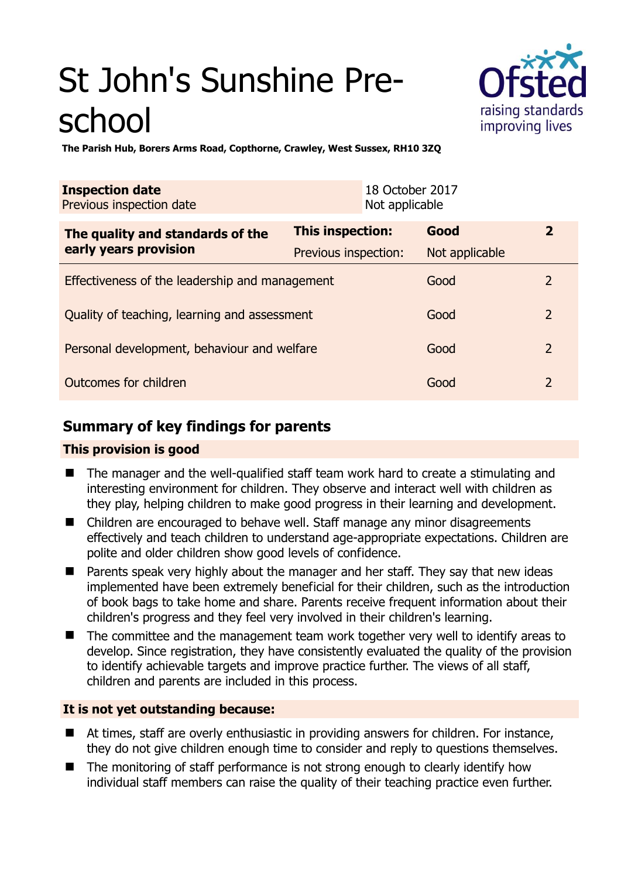# St John's Sunshine Preschool



**The Parish Hub, Borers Arms Road, Copthorne, Crawley, West Sussex, RH10 3ZQ** 

| <b>Inspection date</b><br>Previous inspection date        | 18 October 2017<br>Not applicable |                |                |
|-----------------------------------------------------------|-----------------------------------|----------------|----------------|
| The quality and standards of the<br>early years provision | <b>This inspection:</b>           | Good           | $\mathbf{2}$   |
|                                                           | Previous inspection:              | Not applicable |                |
| Effectiveness of the leadership and management            |                                   | Good           | 2              |
| Quality of teaching, learning and assessment              |                                   | Good           | $\overline{2}$ |
| Personal development, behaviour and welfare               |                                   | Good           | $\overline{2}$ |
| Outcomes for children                                     |                                   | Good           | $\overline{2}$ |

# **Summary of key findings for parents**

## **This provision is good**

- The manager and the well-qualified staff team work hard to create a stimulating and interesting environment for children. They observe and interact well with children as they play, helping children to make good progress in their learning and development.
- Children are encouraged to behave well. Staff manage any minor disagreements effectively and teach children to understand age-appropriate expectations. Children are polite and older children show good levels of confidence.
- **Parents speak very highly about the manager and her staff. They say that new ideas** implemented have been extremely beneficial for their children, such as the introduction of book bags to take home and share. Parents receive frequent information about their children's progress and they feel very involved in their children's learning.
- The committee and the management team work together very well to identify areas to develop. Since registration, they have consistently evaluated the quality of the provision to identify achievable targets and improve practice further. The views of all staff, children and parents are included in this process.

## **It is not yet outstanding because:**

- At times, staff are overly enthusiastic in providing answers for children. For instance, they do not give children enough time to consider and reply to questions themselves.
- The monitoring of staff performance is not strong enough to clearly identify how individual staff members can raise the quality of their teaching practice even further.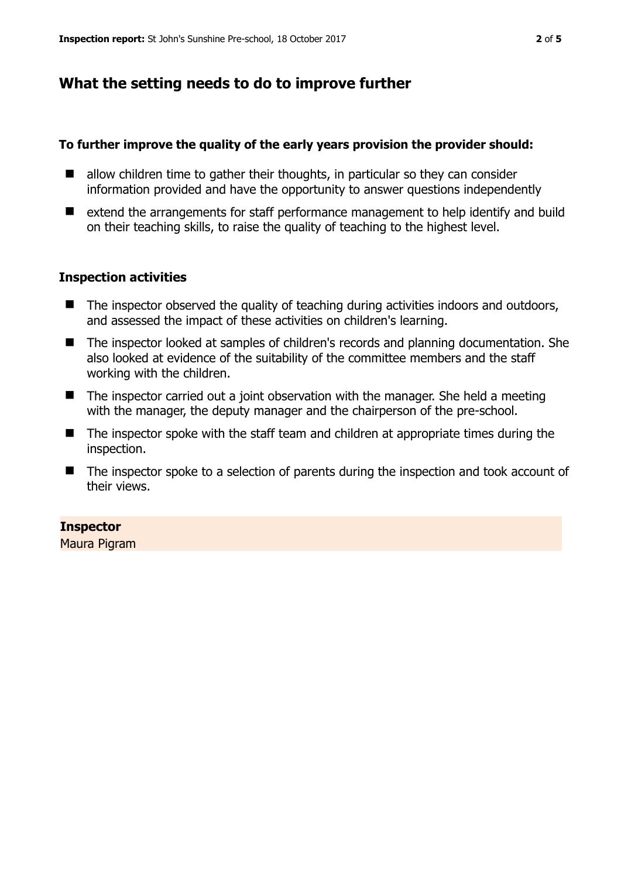# **What the setting needs to do to improve further**

#### **To further improve the quality of the early years provision the provider should:**

- $\blacksquare$  allow children time to gather their thoughts, in particular so they can consider information provided and have the opportunity to answer questions independently
- extend the arrangements for staff performance management to help identify and build on their teaching skills, to raise the quality of teaching to the highest level.

#### **Inspection activities**

- $\blacksquare$  The inspector observed the quality of teaching during activities indoors and outdoors, and assessed the impact of these activities on children's learning.
- The inspector looked at samples of children's records and planning documentation. She also looked at evidence of the suitability of the committee members and the staff working with the children.
- The inspector carried out a joint observation with the manager. She held a meeting with the manager, the deputy manager and the chairperson of the pre-school.
- The inspector spoke with the staff team and children at appropriate times during the inspection.
- The inspector spoke to a selection of parents during the inspection and took account of their views.

#### **Inspector**

Maura Pigram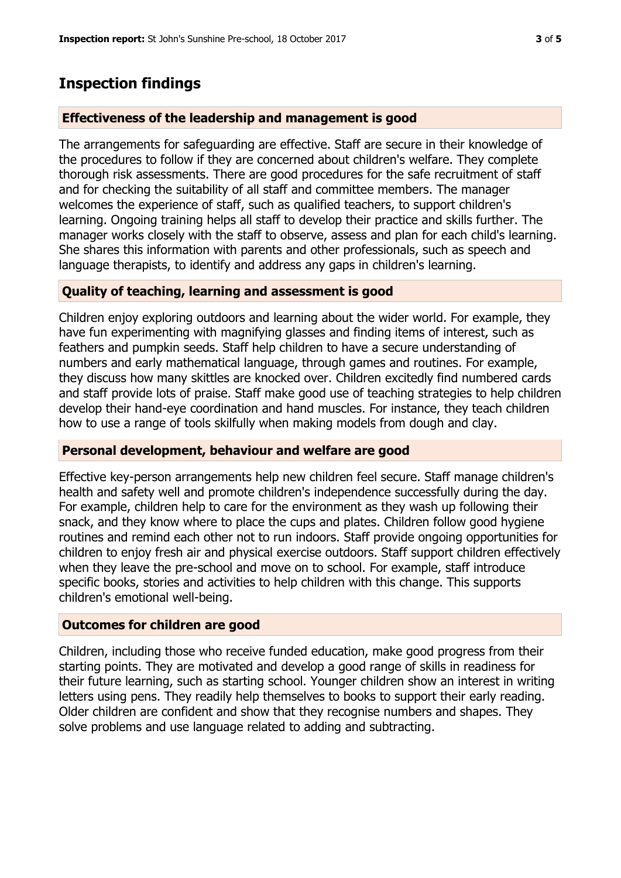# **Inspection findings**

### **Effectiveness of the leadership and management is good**

The arrangements for safeguarding are effective. Staff are secure in their knowledge of the procedures to follow if they are concerned about children's welfare. They complete thorough risk assessments. There are good procedures for the safe recruitment of staff and for checking the suitability of all staff and committee members. The manager welcomes the experience of staff, such as qualified teachers, to support children's learning. Ongoing training helps all staff to develop their practice and skills further. The manager works closely with the staff to observe, assess and plan for each child's learning. She shares this information with parents and other professionals, such as speech and language therapists, to identify and address any gaps in children's learning.

#### **Quality of teaching, learning and assessment is good**

Children enjoy exploring outdoors and learning about the wider world. For example, they have fun experimenting with magnifying glasses and finding items of interest, such as feathers and pumpkin seeds. Staff help children to have a secure understanding of numbers and early mathematical language, through games and routines. For example, they discuss how many skittles are knocked over. Children excitedly find numbered cards and staff provide lots of praise. Staff make good use of teaching strategies to help children develop their hand-eye coordination and hand muscles. For instance, they teach children how to use a range of tools skilfully when making models from dough and clay.

#### **Personal development, behaviour and welfare are good**

Effective key-person arrangements help new children feel secure. Staff manage children's health and safety well and promote children's independence successfully during the day. For example, children help to care for the environment as they wash up following their snack, and they know where to place the cups and plates. Children follow good hygiene routines and remind each other not to run indoors. Staff provide ongoing opportunities for children to enjoy fresh air and physical exercise outdoors. Staff support children effectively when they leave the pre-school and move on to school. For example, staff introduce specific books, stories and activities to help children with this change. This supports children's emotional well-being.

## **Outcomes for children are good**

Children, including those who receive funded education, make good progress from their starting points. They are motivated and develop a good range of skills in readiness for their future learning, such as starting school. Younger children show an interest in writing letters using pens. They readily help themselves to books to support their early reading. Older children are confident and show that they recognise numbers and shapes. They solve problems and use language related to adding and subtracting.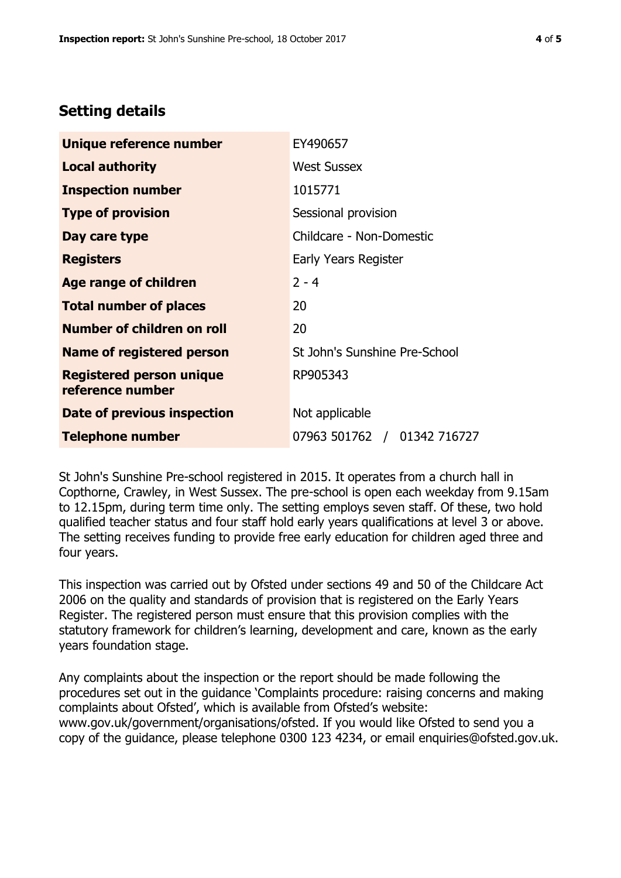## **Setting details**

| Unique reference number                             | EY490657                      |  |
|-----------------------------------------------------|-------------------------------|--|
| <b>Local authority</b>                              | <b>West Sussex</b>            |  |
| <b>Inspection number</b>                            | 1015771                       |  |
| <b>Type of provision</b>                            | Sessional provision           |  |
| Day care type                                       | Childcare - Non-Domestic      |  |
| <b>Registers</b>                                    | Early Years Register          |  |
| <b>Age range of children</b>                        | $2 - 4$                       |  |
| <b>Total number of places</b>                       | 20                            |  |
| Number of children on roll                          | 20                            |  |
| Name of registered person                           | St John's Sunshine Pre-School |  |
| <b>Registered person unique</b><br>reference number | RP905343                      |  |
| Date of previous inspection                         | Not applicable                |  |
| <b>Telephone number</b>                             | 07963 501762 / 01342 716727   |  |

St John's Sunshine Pre-school registered in 2015. It operates from a church hall in Copthorne, Crawley, in West Sussex. The pre-school is open each weekday from 9.15am to 12.15pm, during term time only. The setting employs seven staff. Of these, two hold qualified teacher status and four staff hold early years qualifications at level 3 or above. The setting receives funding to provide free early education for children aged three and four years.

This inspection was carried out by Ofsted under sections 49 and 50 of the Childcare Act 2006 on the quality and standards of provision that is registered on the Early Years Register. The registered person must ensure that this provision complies with the statutory framework for children's learning, development and care, known as the early years foundation stage.

Any complaints about the inspection or the report should be made following the procedures set out in the guidance 'Complaints procedure: raising concerns and making complaints about Ofsted', which is available from Ofsted's website: www.gov.uk/government/organisations/ofsted. If you would like Ofsted to send you a copy of the guidance, please telephone 0300 123 4234, or email enquiries@ofsted.gov.uk.